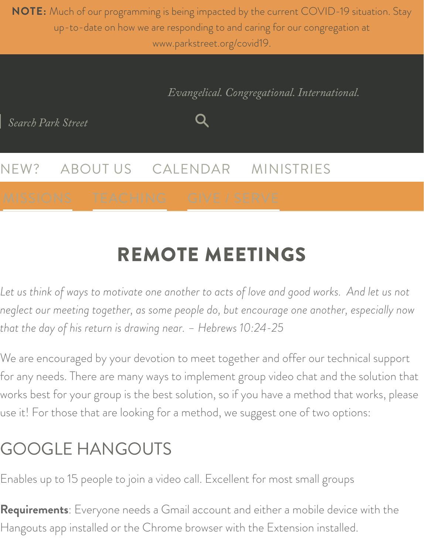**NOTE:** Much of our programming is being impacted by the current COVID-19 situation. Stay up-to-date on how we are responding to and caring for our congregation at [ww](https://www.parkstreet.org/)w.parkstreet.org/covid19.

Q

*Evangelical. Congregational. International.*

*Search Park Street*

[NEW?](https://www.parkstreet.org/ministries/missions) ABO[UT US](https://www.parkstreet.org/teaching-training) CAL[ENDAR](https://www.parkstreet.org/give) MINISTRIES

# REMOTE MEETINGS

*Let us think of ways to motivate one another to acts of love and good works. And let us not neglect our meeting together, as some people do, but encourage one another, especially now that the day of his return is drawing near. – Hebrews 10:24-25*

We are encouraged by your devotion to meet together and offer our technical support for any needs. There are many ways to implement group video chat and the solution that works best for your group is the best solution, so if you have a method that works, please use it! For those that are looking for a method, we suggest one of two options:

### GOOGLE HANGOUTS

Enables up to 15 people to join a video call. Excellent for most small groups

**Requirements**: Everyone needs a Gmail account and either a mobile device with the Hangouts app installed or the Chrome browser with the Extension installed.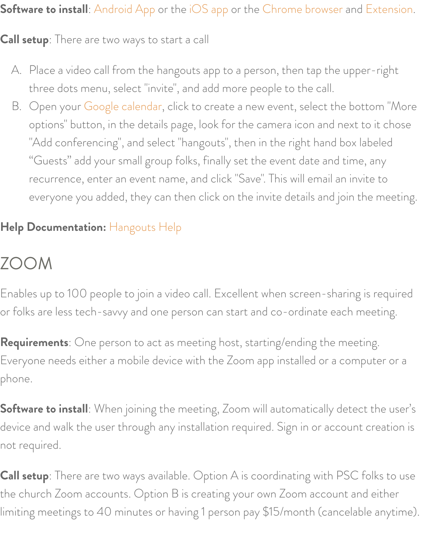#### **Software to install**: Android App or the iOS app or the Chrome browser and Extension.

#### **Call setup**: There are two ways to start a call

- A. Place a video call from the hangouts app to a person, then tap the upper-right three dots [menu, select "invi](https://calendar.google.com/calendar/r?tab=mc1)te", and add more people to the call.
- B. Open your Google calendar, click to create a new event, select the bottom "More options" button, in the details page, look for the camera icon and next to it chose "Add conferencing", and select "hangouts", then in the right hand box labeled "Guests" add your small group folks, finally set the event date and time, any recurrence, enter an event name, and click "Save". This will email an invite to everyone you ad[ded, they can th](https://support.google.com/hangouts/?hl=en#topic=6386410)en click on the invite details and join the meeting.

### **Help Documentation:** Hangouts Help

### ZOOM

Enables up to 100 people to join a video call. Excellent when screen-sharing is required or folks are less tech-savvy and one person can start and co-ordinate each meeting.

**Requirements**: One person to act as meeting host, starting/ending the meeting. Everyone needs either a mobile device with the Zoom app installed or a computer or a phone.

**Software to install**: When joining the meeting, Zoom will automatically detect the user's device and walk the user through any installation required. Sign in or account creation is not required.

**Call setup**: There are two ways available. Option A is coordinating with PSC folks to use the church Zoom accounts. Option B is creating your own Zoom account and either limiting meetings to 40 minutes or having 1 person pay \$15/month (cancelable anytime).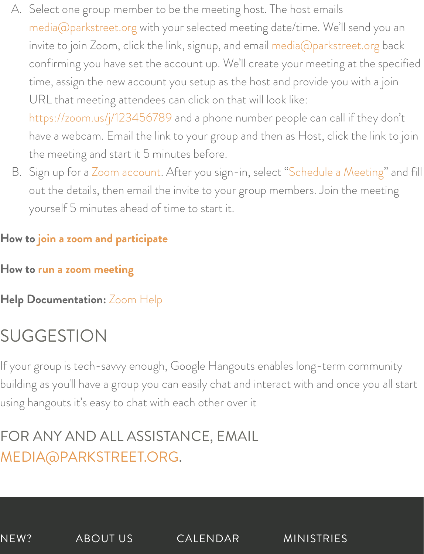- A. [Select one group mem](mailto:media@parkstreet.org)ber to be the meeting host. The host emails media@parkstreet.org with your selected meeting [date/time. We'll send yo](mailto:media@parkstreet.org)u an invite to join Zoom, click the link, signup, and email media@parkstreet.org back confirming you have set the account up. We'll create your meeting at the specified time, assign the new account you setup as the host and provide you with a join [URL that meeting attendees c](https://zoom.us/j/123456789)an click on that will look like: https://zoom.us/j/123456789 and a phone number people can call if they don't have a webcam. Email the link to your group and then as Host, click the link to join the meeting [and start it 5 m](https://zoom.us/signup)inutes before.
- B. Sign up for a Zoom account. After you sign-in, select "Schedule a Meeting" and fill out the details, then email the invite to your group members. Join the meeting y[ourself 5 minutes ahead of ti](https://www.parkstreet.org/usingzoom)me to start it.

#### **How to [join a zoom and part](https://www.parkstreet.org/organizingazoom)icipate**

- **How to run a zoom m[eeting](https://support.zoom.us/hc/en-us)**
- **Help Documentation:** Zoom Help

## SUGGESTION

If your group is tech-savvy enough, Google Hangouts enables long-term community building as you'll have a group you can easily chat and interact with and once you all start using hangouts it's easy to chat with each other over it

### [FOR ANY AND ALL ASSISTA](mailto:media@parkstreet.org)NCE, EMAIL MEDIA@PARKSTREET.ORG.

NEW? ABOUT US CALENDAR MINISTRIES